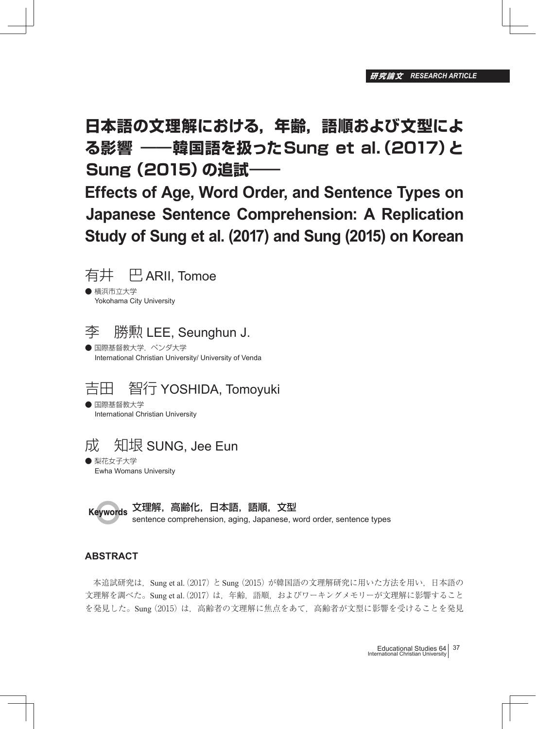**日本語の文理解における,年齢,語順および文型によ る影響 ―― 韓国語を扱ったSung et al.(2017)と Sung (2015)の追試一** 

**Effects of Age, Word Order, and Sentence Types on Japanese Sentence Comprehension: A Replication Study of Sung et al. (2017) and Sung (2015) on Korean**



● 横浜市立大学 Yokohama City University



李 勝勲 LEE, Seunghun J.

● 国際基督教大学, ベンダ大学 International Christian University/ University of Venda

# 吉田 智行 YOSHIDA, Tomoyuki

● 国際基督教大学 International Christian University



● 梨花女子大学 Ewha Womans University

文理解,高齢化,日本語,語順,文型 **Keywords** 

sentence comprehension, aging, Japanese, word order, sentence types

# **ABSTRACT**

本追試研究は, Sung et al. (2017) と Sung (2015) が韓国語の文理解研究に用いた方法を用い, 日本語の 文理解を調べた。Sung et al. (2017) は、年齢,語順, およびワーキングメモリーが文理解に影響すること を発見した。Sung (2015) は,高齢者の文理解に焦点をあて,高齢者が文型に影響を受けることを発見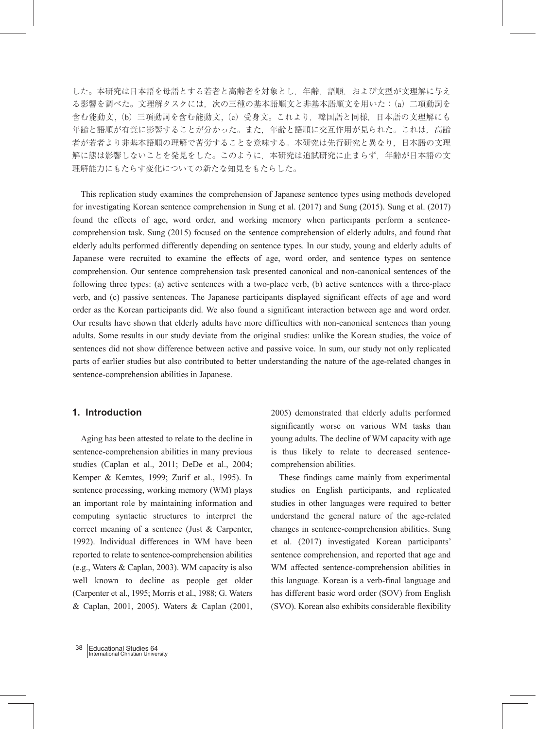した。本研究は日本語を母語とする若者と高齢者を対象とし,年齢,語順,および文型が文理解に与え る影響を調べた。文理解タスクには,次の三種の基本語順文と非基本語順文を用いた:(a)二項動詞を 含む能動文,(b)三項動詞を含む能動文,(c)受身文。これより,韓国語と同様,日本語の文理解にも 年齢と語順が有意に影響することが分かった。また,年齢と語順に交互作用が見られた。これは,高齢 者が若者より非基本語順の理解で苦労することを意味する。本研究は先行研究と異なり,日本語の文理 解に態は影響しないことを発見をした。このように,本研究は追試研究に止まらず,年齢が日本語の文 理解能力にもたらす変化についての新たな知見をもたらした。

 This replication study examines the comprehension of Japanese sentence types using methods developed for investigating Korean sentence comprehension in Sung et al. (2017) and Sung (2015). Sung et al. (2017) found the effects of age, word order, and working memory when participants perform a sentencecomprehension task. Sung (2015) focused on the sentence comprehension of elderly adults, and found that elderly adults performed differently depending on sentence types. In our study, young and elderly adults of Japanese were recruited to examine the effects of age, word order, and sentence types on sentence comprehension. Our sentence comprehension task presented canonical and non-canonical sentences of the following three types: (a) active sentences with a two-place verb, (b) active sentences with a three-place verb, and (c) passive sentences. The Japanese participants displayed significant effects of age and word order as the Korean participants did. We also found a significant interaction between age and word order. Our results have shown that elderly adults have more difficulties with non-canonical sentences than young adults. Some results in our study deviate from the original studies: unlike the Korean studies, the voice of sentences did not show difference between active and passive voice. In sum, our study not only replicated parts of earlier studies but also contributed to better understanding the nature of the age-related changes in sentence-comprehension abilities in Japanese.

# **1. Introduction**

 Aging has been attested to relate to the decline in sentence-comprehension abilities in many previous studies (Caplan et al., 2011; DeDe et al., 2004; Kemper & Kemtes, 1999; Zurif et al., 1995). In sentence processing, working memory (WM) plays an important role by maintaining information and computing syntactic structures to interpret the correct meaning of a sentence (Just & Carpenter, 1992). Individual differences in WM have been reported to relate to sentence-comprehension abilities (e.g., Waters & Caplan, 2003). WM capacity is also well known to decline as people get older (Carpenter et al., 1995; Morris et al., 1988; G. Waters & Caplan, 2001, 2005). Waters & Caplan (2001, 2005) demonstrated that elderly adults performed significantly worse on various WM tasks than young adults. The decline of WM capacity with age is thus likely to relate to decreased sentencecomprehension abilities.

 These findings came mainly from experimental studies on English participants, and replicated studies in other languages were required to better understand the general nature of the age-related changes in sentence-comprehension abilities. Sung et al. (2017) investigated Korean participants' sentence comprehension, and reported that age and WM affected sentence-comprehension abilities in this language. Korean is a verb-final language and has different basic word order (SOV) from English (SVO). Korean also exhibits considerable flexibility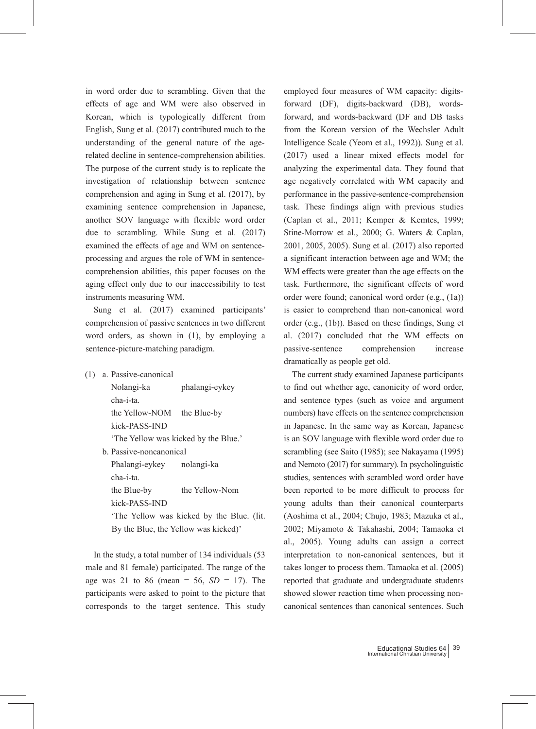in word order due to scrambling. Given that the effects of age and WM were also observed in Korean, which is typologically different from English, Sung et al. (2017) contributed much to the understanding of the general nature of the agerelated decline in sentence-comprehension abilities. The purpose of the current study is to replicate the investigation of relationship between sentence comprehension and aging in Sung et al. (2017), by examining sentence comprehension in Japanese, another SOV language with flexible word order due to scrambling. While Sung et al. (2017) examined the effects of age and WM on sentenceprocessing and argues the role of WM in sentencecomprehension abilities, this paper focuses on the aging effect only due to our inaccessibility to test instruments measuring WM.

 Sung et al. (2017) examined participants' comprehension of passive sentences in two different word orders, as shown in (1), by employing a sentence-picture-matching paradigm.

(1) a. Passive-canonical

| Nolangi-ka                           | phalangi-eykey                           |
|--------------------------------------|------------------------------------------|
| cha-i-ta.                            |                                          |
| the Yellow-NOM the Blue-by           |                                          |
| kick-PASS-IND                        |                                          |
| 'The Yellow was kicked by the Blue.' |                                          |
| b. Passive-noncanonical              |                                          |
| Phalangi-eykey nolangi-ka            |                                          |
| cha-i-ta.                            |                                          |
| the Blue-by                          | the Yellow-Nom                           |
| kick-PASS-IND                        |                                          |
|                                      | The Yellow was kicked by the Blue. (lit. |
| By the Blue, the Yellow was kicked)' |                                          |

 In the study, a total number of 134 individuals (53 male and 81 female) participated. The range of the age was 21 to 86 (mean = 56, *SD* = 17). The participants were asked to point to the picture that corresponds to the target sentence. This study employed four measures of WM capacity: digitsforward (DF), digits-backward (DB), wordsforward, and words-backward (DF and DB tasks from the Korean version of the Wechsler Adult Intelligence Scale (Yeom et al., 1992)). Sung et al. (2017) used a linear mixed effects model for analyzing the experimental data. They found that age negatively correlated with WM capacity and performance in the passive-sentence-comprehension task. These findings align with previous studies (Caplan et al., 2011; Kemper & Kemtes, 1999; Stine-Morrow et al., 2000; G. Waters & Caplan, 2001, 2005, 2005). Sung et al. (2017) also reported a significant interaction between age and WM; the WM effects were greater than the age effects on the task. Furthermore, the significant effects of word order were found; canonical word order (e.g., (1a)) is easier to comprehend than non-canonical word order (e.g., (1b)). Based on these findings, Sung et al. (2017) concluded that the WM effects on passive-sentence comprehension increase dramatically as people get old.

 The current study examined Japanese participants to find out whether age, canonicity of word order, and sentence types (such as voice and argument numbers) have effects on the sentence comprehension in Japanese. In the same way as Korean, Japanese is an SOV language with flexible word order due to scrambling (see Saito (1985); see Nakayama (1995) and Nemoto (2017) for summary). In psycholinguistic studies, sentences with scrambled word order have been reported to be more difficult to process for young adults than their canonical counterparts (Aoshima et al., 2004; Chujo, 1983; Mazuka et al., 2002; Miyamoto & Takahashi, 2004; Tamaoka et al., 2005). Young adults can assign a correct interpretation to non-canonical sentences, but it takes longer to process them. Tamaoka et al. (2005) reported that graduate and undergraduate students showed slower reaction time when processing noncanonical sentences than canonical sentences. Such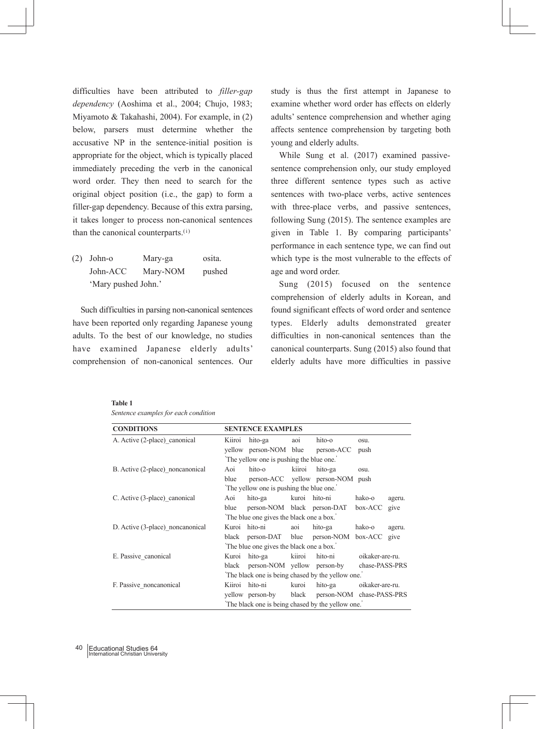difficulties have been attributed to *filler-gap dependency* (Aoshima et al., 2004; Chujo, 1983; Miyamoto & Takahashi, 2004). For example, in (2) below, parsers must determine whether the accusative NP in the sentence-initial position is appropriate for the object, which is typically placed immediately preceding the verb in the canonical word order. They then need to search for the original object position (i.e., the gap) to form a filler-gap dependency. Because of this extra parsing, it takes longer to process non-canonical sentences than the canonical counterparts.(i)

(2) John-o Mary-ga osita. John-ACC Mary-NOM pushed 'Mary pushed John.'

 Such difficulties in parsing non-canonical sentences have been reported only regarding Japanese young adults. To the best of our knowledge, no studies have examined Japanese elderly adults' comprehension of non-canonical sentences. Our study is thus the first attempt in Japanese to examine whether word order has effects on elderly adults' sentence comprehension and whether aging affects sentence comprehension by targeting both young and elderly adults.

 While Sung et al. (2017) examined passivesentence comprehension only, our study employed three different sentence types such as active sentences with two-place verbs, active sentences with three-place verbs, and passive sentences, following Sung (2015). The sentence examples are given in Table 1. By comparing participants' performance in each sentence type, we can find out which type is the most vulnerable to the effects of age and word order.

 Sung (2015) focused on the sentence comprehension of elderly adults in Korean, and found significant effects of word order and sentence types. Elderly adults demonstrated greater difficulties in non-canonical sentences than the canonical counterparts. Sung (2015) also found that elderly adults have more difficulties in passive

| <b>CONDITIONS</b>                |                                                  | <b>SENTENCE EXAMPLES</b>                         |        |                                   |                 |        |
|----------------------------------|--------------------------------------------------|--------------------------------------------------|--------|-----------------------------------|-----------------|--------|
| A. Active (2-place) canonical    | Kiiroi                                           | hito-ga                                          | aoi    | hito-o                            | OSU.            |        |
|                                  |                                                  | yellow person-NOM blue person-ACC                |        |                                   | push            |        |
|                                  |                                                  | The yellow one is pushing the blue one.          |        |                                   |                 |        |
| B. Active (2-place) noncanonical | Aoi                                              | hito-o                                           | kiiroi | hito-ga                           | osu.            |        |
|                                  | blue                                             |                                                  |        | person-ACC yellow person-NOM push |                 |        |
|                                  |                                                  | The yellow one is pushing the blue one.          |        |                                   |                 |        |
| C. Active (3-place) canonical    | Aoi                                              | hito-ga kuroi hito-ni                            |        |                                   | hako-o          | ageru. |
|                                  | blue                                             | person-NOM black person-DAT                      |        |                                   | box-ACC         | give   |
|                                  |                                                  | The blue one gives the black one a box.          |        |                                   |                 |        |
| D. Active (3-place) noncanonical |                                                  | Kuroi hito-ni                                    | aoi    | hito-ga                           | hako-o          | ageru. |
|                                  |                                                  | black person-DAT blue person-NOM box-ACC give    |        |                                   |                 |        |
|                                  | The blue one gives the black one a box.          |                                                  |        |                                   |                 |        |
| E. Passive canonical             | Kuroi                                            | hito-ga                                          | kiiroi | hito-ni                           | oikaker-are-ru. |        |
|                                  |                                                  | black person-NOM yellow person-by                |        |                                   | chase-PASS-PRS  |        |
|                                  | The black one is being chased by the yellow one. |                                                  |        |                                   |                 |        |
| F. Passive noncanonical          |                                                  | Kiiroi hito-ni                                   | kuroi  | hito-ga                           | oikaker-are-ru. |        |
|                                  |                                                  | yellow person-by black person-NOM chase-PASS-PRS |        |                                   |                 |        |
|                                  | The black one is being chased by the yellow one. |                                                  |        |                                   |                 |        |

*Sentence examples for each condition*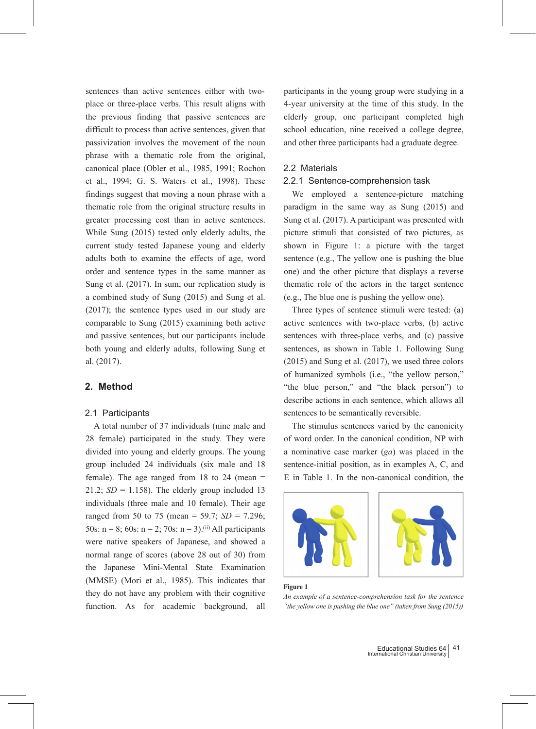sentences than active sentences either with twoplace or three-place verbs. This result aligns with the previous finding that passive sentences are difficult to process than active sentences, given that passivization involves the movement of the noun phrase with a thematic role from the original, canonical place (Obler et al., 1985, 1991; Rochon et al., 1994; G. S. Waters et al., 1998). These findings suggest that moving a noun phrase with a thematic role from the original structure results in greater processing cost than in active sentences. While Sung (2015) tested only elderly adults, the current study tested Japanese young and elderly adults both to examine the effects of age, word order and sentence types in the same manner as Sung et al. (2017). In sum, our replication study is a combined study of Sung (2015) and Sung et al. (2017); the sentence types used in our study are comparable to Sung (2015) examining both active and passive sentences, but our participants include both young and elderly adults, following Sung et al. (2017).

# **2. Method**

#### 2.1 Participants

 A total number of 37 individuals (nine male and 28 female) participated in the study. They were divided into young and elderly groups. The young group included 24 individuals (six male and 18 female). The age ranged from  $18$  to  $24$  (mean  $=$ 21.2;  $SD = 1.158$ ). The elderly group included 13 individuals (three male and 10 female). Their age ranged from 50 to 75 (mean = 59.7; *SD* = 7.296; 50s:  $n = 8$ ; 60s:  $n = 2$ ; 70s:  $n = 3$ ).<sup>(ii)</sup> All participants were native speakers of Japanese, and showed a normal range of scores (above 28 out of 30) from the Japanese Mini-Mental State Examination (MMSE) (Mori et al., 1985). This indicates that they do not have any problem with their cognitive function. As for academic background, all

participants in the young group were studying in a 4-year university at the time of this study. In the elderly group, one participant completed high school education, nine received a college degree, and other three participants had a graduate degree.

#### 2.2 Materials

#### 2.2.1 Sentence-comprehension task

 We employed a sentence-picture matching paradigm in the same way as Sung (2015) and Sung et al. (2017). A participant was presented with picture stimuli that consisted of two pictures, as shown in Figure 1: a picture with the target sentence (e.g., The yellow one is pushing the blue one) and the other picture that displays a reverse thematic role of the actors in the target sentence (e.g., The blue one is pushing the yellow one).

 Three types of sentence stimuli were tested: (a) active sentences with two-place verbs, (b) active sentences with three-place verbs, and (c) passive sentences, as shown in Table 1. Following Sung (2015) and Sung et al. (2017), we used three colors of humanized symbols (i.e., "the yellow person," "the blue person," and "the black person") to describe actions in each sentence, which allows all sentences to be semantically reversible.

 The stimulus sentences varied by the canonicity of word order. In the canonical condition, NP with a nominative case marker (*ga*) was placed in the sentence-initial position, as in examples A, C, and E in Table 1. In the non-canonical condition, the





#### **Figure 1**

*An example of a sentence-comprehension task for the sentence "the yellow one is pushing the blue one" (taken from Sung (2015))*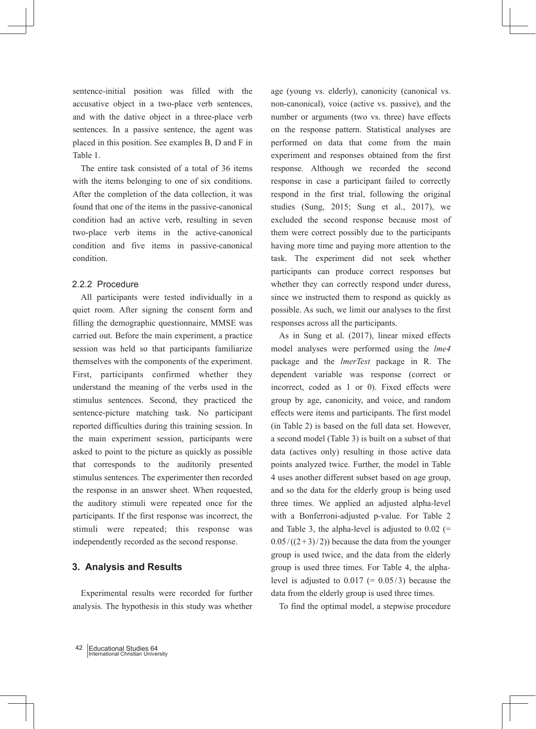sentence-initial position was filled with the accusative object in a two-place verb sentences, and with the dative object in a three-place verb sentences. In a passive sentence, the agent was placed in this position. See examples B, D and F in Table 1.

 The entire task consisted of a total of 36 items with the items belonging to one of six conditions. After the completion of the data collection, it was found that one of the items in the passive-canonical condition had an active verb, resulting in seven two-place verb items in the active-canonical condition and five items in passive-canonical condition.

## 2.2.2 Procedure

 All participants were tested individually in a quiet room. After signing the consent form and filling the demographic questionnaire, MMSE was carried out. Before the main experiment, a practice session was held so that participants familiarize themselves with the components of the experiment. First, participants confirmed whether they understand the meaning of the verbs used in the stimulus sentences. Second, they practiced the sentence-picture matching task. No participant reported difficulties during this training session. In the main experiment session, participants were asked to point to the picture as quickly as possible that corresponds to the auditorily presented stimulus sentences. The experimenter then recorded the response in an answer sheet. When requested, the auditory stimuli were repeated once for the participants. If the first response was incorrect, the stimuli were repeated; this response was independently recorded as the second response.

# **3. Analysis and Results**

 Experimental results were recorded for further analysis. The hypothesis in this study was whether age (young vs. elderly), canonicity (canonical vs. non-canonical), voice (active vs. passive), and the number or arguments (two vs. three) have effects on the response pattern. Statistical analyses are performed on data that come from the main experiment and responses obtained from the first response. Although we recorded the second response in case a participant failed to correctly respond in the first trial, following the original studies (Sung, 2015; Sung et al., 2017), we excluded the second response because most of them were correct possibly due to the participants having more time and paying more attention to the task. The experiment did not seek whether participants can produce correct responses but whether they can correctly respond under duress, since we instructed them to respond as quickly as possible. As such, we limit our analyses to the first responses across all the participants.

 As in Sung et al. (2017), linear mixed effects model analyses were performed using the *lme4* package and the *lmerTest* package in R. The dependent variable was response (correct or incorrect, coded as 1 or 0). Fixed effects were group by age, canonicity, and voice, and random effects were items and participants. The first model (in Table 2) is based on the full data set. However, a second model (Table 3) is built on a subset of that data (actives only) resulting in those active data points analyzed twice. Further, the model in Table 4 uses another different subset based on age group, and so the data for the elderly group is being used three times. We applied an adjusted alpha-level with a Bonferroni-adjusted p-value. For Table 2 and Table 3, the alpha-level is adjusted to  $0.02$  (=  $0.05/((2+3)/2)$ ) because the data from the younger group is used twice, and the data from the elderly group is used three times. For Table 4, the alphalevel is adjusted to  $0.017$  (=  $0.05/3$ ) because the data from the elderly group is used three times.

To find the optimal model, a stepwise procedure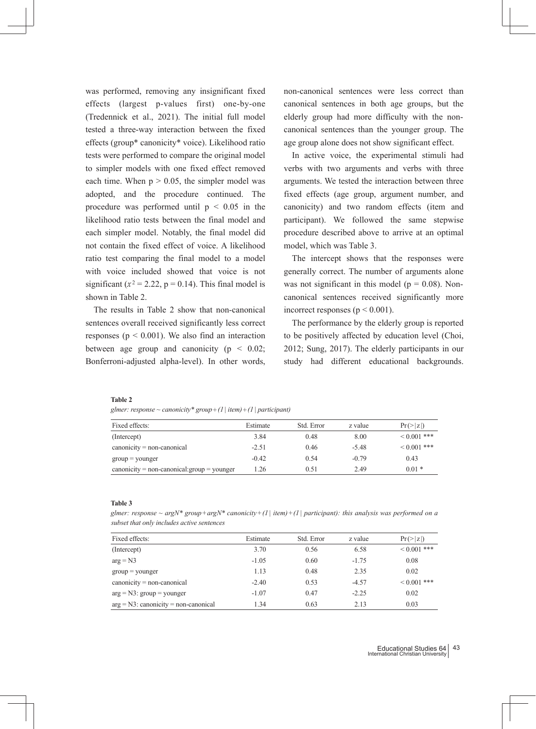was performed, removing any insignificant fixed effects (largest p-values first) one-by-one (Tredennick et al., 2021). The initial full model tested a three-way interaction between the fixed effects (group\* canonicity\* voice). Likelihood ratio tests were performed to compare the original model to simpler models with one fixed effect removed each time. When  $p > 0.05$ , the simpler model was adopted, and the procedure continued. The procedure was performed until  $p < 0.05$  in the likelihood ratio tests between the final model and each simpler model. Notably, the final model did not contain the fixed effect of voice. A likelihood ratio test comparing the final model to a model with voice included showed that voice is not significant ( $x^2 = 2.22$ ,  $p = 0.14$ ). This final model is shown in Table 2.

 The results in Table 2 show that non-canonical sentences overall received significantly less correct responses ( $p < 0.001$ ). We also find an interaction between age group and canonicity ( $p < 0.02$ ; Bonferroni-adjusted alpha-level). In other words, non-canonical sentences were less correct than canonical sentences in both age groups, but the elderly group had more difficulty with the noncanonical sentences than the younger group. The age group alone does not show significant effect.

 In active voice, the experimental stimuli had verbs with two arguments and verbs with three arguments. We tested the interaction between three fixed effects (age group, argument number, and canonicity) and two random effects (item and participant). We followed the same stepwise procedure described above to arrive at an optimal model, which was Table 3.

 The intercept shows that the responses were generally correct. The number of arguments alone was not significant in this model ( $p = 0.08$ ). Noncanonical sentences received significantly more incorrect responses ( $p < 0.001$ ).

 The performance by the elderly group is reported to be positively affected by education level (Choi, 2012; Sung, 2017). The elderly participants in our study had different educational backgrounds.

#### **Table 2**

*glmer: response ~ canonicity\* group*+*(1| item)*+*(1| participant)*

| Fixed effects:                                | Estimate | Std. Error | z value | $Pr(>\vert z \vert)$ |
|-----------------------------------------------|----------|------------|---------|----------------------|
| (Intercept)                                   | 3.84     | 0.48       | 8.00    | $0.001$ ***          |
| $canonicity = non-canonical$                  | $-2.51$  | 0.46       | $-5.48$ | $0.001$ ***          |
| $group = younger$                             | $-0.42$  | 0.54       | $-0.79$ | 0.43                 |
| $canonicity = non-canonical: group = younger$ | l.26     | 0.51       | 2.49    | $0.01*$              |

**Table 3**

*glmer: response ~ argN\* group*+*argN\* canonicity*+*(1| item)*+*(1| participant): this analysis was performed on a subset that only includes active sentences*

| Fixed effects:                          | Estimate | Std. Error | z value | $Pr(>\vert z \vert)$ |
|-----------------------------------------|----------|------------|---------|----------------------|
| (Intercept)                             | 3.70     | 0.56       | 6.58    | $0.001$ ***          |
| $arg = N3$                              | $-1.05$  | 0.60       | $-1.75$ | 0.08                 |
| $group = younger$                       | 1.13     | 0.48       | 2.35    | 0.02                 |
| $canonicity = non-canonical$            | $-2.40$  | 0.53       | $-4.57$ | $0.001$ ***          |
| $arg = N3$ : group = younger            | $-1.07$  | 0.47       | $-2.25$ | 0.02                 |
| $arg = N3$ : canonicity = non-canonical | 1.34     | 0.63       | 2.13    | 0.03                 |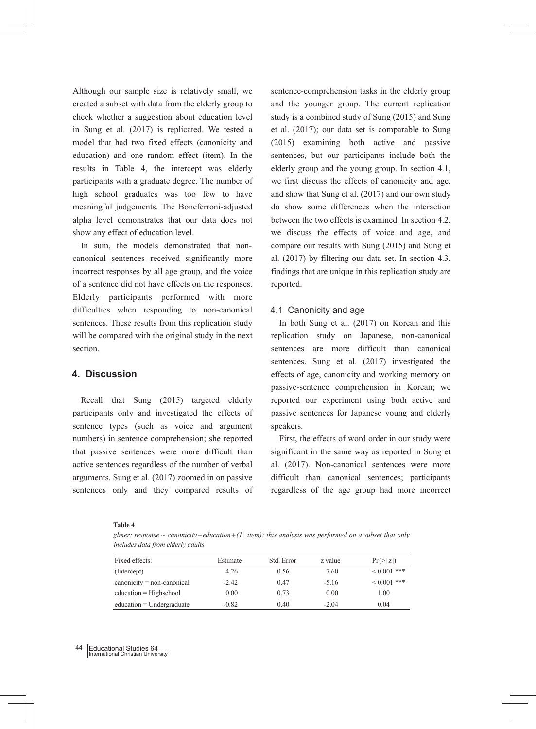Although our sample size is relatively small, we created a subset with data from the elderly group to check whether a suggestion about education level in Sung et al. (2017) is replicated. We tested a model that had two fixed effects (canonicity and education) and one random effect (item). In the results in Table 4, the intercept was elderly participants with a graduate degree. The number of high school graduates was too few to have meaningful judgements. The Boneferroni-adjusted alpha level demonstrates that our data does not show any effect of education level.

 In sum, the models demonstrated that noncanonical sentences received significantly more incorrect responses by all age group, and the voice of a sentence did not have effects on the responses. Elderly participants performed with more difficulties when responding to non-canonical sentences. These results from this replication study will be compared with the original study in the next section.

# **4. Discussion**

 Recall that Sung (2015) targeted elderly participants only and investigated the effects of sentence types (such as voice and argument numbers) in sentence comprehension; she reported that passive sentences were more difficult than active sentences regardless of the number of verbal arguments. Sung et al. (2017) zoomed in on passive sentences only and they compared results of sentence-comprehension tasks in the elderly group and the younger group. The current replication study is a combined study of Sung (2015) and Sung et al. (2017); our data set is comparable to Sung (2015) examining both active and passive sentences, but our participants include both the elderly group and the young group. In section 4.1, we first discuss the effects of canonicity and age, and show that Sung et al. (2017) and our own study do show some differences when the interaction between the two effects is examined. In section 4.2, we discuss the effects of voice and age, and compare our results with Sung (2015) and Sung et al. (2017) by filtering our data set. In section 4.3, findings that are unique in this replication study are reported.

#### 4.1 Canonicity and age

 In both Sung et al. (2017) on Korean and this replication study on Japanese, non-canonical sentences are more difficult than canonical sentences. Sung et al. (2017) investigated the effects of age, canonicity and working memory on passive-sentence comprehension in Korean; we reported our experiment using both active and passive sentences for Japanese young and elderly speakers.

 First, the effects of word order in our study were significant in the same way as reported in Sung et al. (2017). Non-canonical sentences were more difficult than canonical sentences; participants regardless of the age group had more incorrect

#### **Table 4**

*glmer: response ~ canonicity*+*education*+*(1 | item): this analysis was performed on a subset that only includes data from elderly adults*

| Fixed effects:               | Estimate | Std. Error | z value | $Pr(>\vert z \vert)$ |
|------------------------------|----------|------------|---------|----------------------|
| (Intercept)                  | 4.26     | 0.56       | 7.60    | $0.001$ ***          |
| $canonicity = non-canonical$ | $-2.42$  | 0.47       | $-5.16$ | $0.001$ ***          |
| $education = High school$    | 0.00     | 0.73       | 0.00    | 1.00                 |
| $education = Undergraduate$  | $-0.82$  | 0.40       | $-2.04$ | 0.04                 |

#### Educational Studies 64 International Christian University  $\Lambda$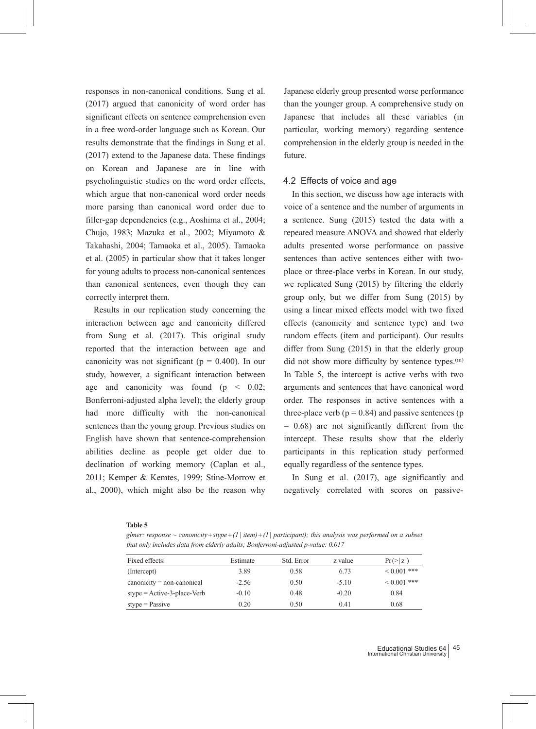responses in non-canonical conditions. Sung et al. (2017) argued that canonicity of word order has significant effects on sentence comprehension even in a free word-order language such as Korean. Our results demonstrate that the findings in Sung et al. (2017) extend to the Japanese data. These findings on Korean and Japanese are in line with psycholinguistic studies on the word order effects, which argue that non-canonical word order needs more parsing than canonical word order due to filler-gap dependencies (e.g., Aoshima et al., 2004; Chujo, 1983; Mazuka et al., 2002; Miyamoto & Takahashi, 2004; Tamaoka et al., 2005). Tamaoka et al. (2005) in particular show that it takes longer for young adults to process non-canonical sentences than canonical sentences, even though they can correctly interpret them.

 Results in our replication study concerning the interaction between age and canonicity differed from Sung et al. (2017). This original study reported that the interaction between age and canonicity was not significant ( $p = 0.400$ ). In our study, however, a significant interaction between age and canonicity was found ( $p \leq 0.02$ ; Bonferroni-adjusted alpha level); the elderly group had more difficulty with the non-canonical sentences than the young group. Previous studies on English have shown that sentence-comprehension abilities decline as people get older due to declination of working memory (Caplan et al., 2011; Kemper & Kemtes, 1999; Stine-Morrow et al., 2000), which might also be the reason why Japanese elderly group presented worse performance than the younger group. A comprehensive study on Japanese that includes all these variables (in particular, working memory) regarding sentence comprehension in the elderly group is needed in the future.

#### 4.2 Effects of voice and age

 In this section, we discuss how age interacts with voice of a sentence and the number of arguments in a sentence. Sung (2015) tested the data with a repeated measure ANOVA and showed that elderly adults presented worse performance on passive sentences than active sentences either with twoplace or three-place verbs in Korean. In our study, we replicated Sung (2015) by filtering the elderly group only, but we differ from Sung (2015) by using a linear mixed effects model with two fixed effects (canonicity and sentence type) and two random effects (item and participant). Our results differ from Sung (2015) in that the elderly group did not show more difficulty by sentence types.<sup>(iii)</sup> In Table 5, the intercept is active verbs with two arguments and sentences that have canonical word order. The responses in active sentences with a three-place verb ( $p = 0.84$ ) and passive sentences ( $p = 0.84$ ) = 0.68) are not significantly different from the intercept. These results show that the elderly participants in this replication study performed equally regardless of the sentence types.

 In Sung et al. (2017), age significantly and negatively correlated with scores on passive-

#### **Table 5**

*glmer: response ~ canonicity*+*stype*+*(1| item)*+*(1| participant); this analysis was performed on a subset that only includes data from elderly adults; Bonferroni-adjusted p-value: 0.017*

| Fixed effects:                | Estimate | Std. Error | z value | $Pr(>\vert z \vert)$ |
|-------------------------------|----------|------------|---------|----------------------|
| (Intercept)                   | 3.89     | 0.58       | 6.73    | $0.001$ ***          |
| $canonicity = non-canonical$  | $-2.56$  | 0.50       | $-5.10$ | $0.001$ ***          |
| $style =$ Active-3-place-Verb | $-0.10$  | 0.48       | $-0.20$ | 0.84                 |
| $style = Passive$             | 0.20     | 0.50       | 0.41    | 0.68                 |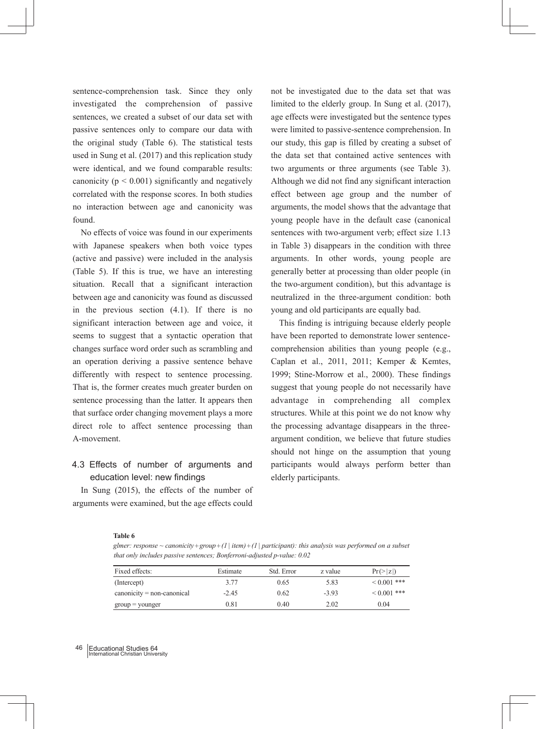sentence-comprehension task. Since they only investigated the comprehension of passive sentences, we created a subset of our data set with passive sentences only to compare our data with the original study (Table 6). The statistical tests used in Sung et al. (2017) and this replication study were identical, and we found comparable results: canonicity ( $p < 0.001$ ) significantly and negatively correlated with the response scores. In both studies no interaction between age and canonicity was found.

 No effects of voice was found in our experiments with Japanese speakers when both voice types (active and passive) were included in the analysis (Table 5). If this is true, we have an interesting situation. Recall that a significant interaction between age and canonicity was found as discussed in the previous section (4.1). If there is no significant interaction between age and voice, it seems to suggest that a syntactic operation that changes surface word order such as scrambling and an operation deriving a passive sentence behave differently with respect to sentence processing. That is, the former creates much greater burden on sentence processing than the latter. It appears then that surface order changing movement plays a more direct role to affect sentence processing than A-movement.

# 4.3 Effects of number of arguments and education level: new findings

 In Sung (2015), the effects of the number of arguments were examined, but the age effects could

not be investigated due to the data set that was limited to the elderly group. In Sung et al. (2017), age effects were investigated but the sentence types were limited to passive-sentence comprehension. In our study, this gap is filled by creating a subset of the data set that contained active sentences with two arguments or three arguments (see Table 3). Although we did not find any significant interaction effect between age group and the number of arguments, the model shows that the advantage that young people have in the default case (canonical sentences with two-argument verb; effect size 1.13 in Table 3) disappears in the condition with three arguments. In other words, young people are generally better at processing than older people (in the two-argument condition), but this advantage is neutralized in the three-argument condition: both young and old participants are equally bad.

 This finding is intriguing because elderly people have been reported to demonstrate lower sentencecomprehension abilities than young people (e.g., Caplan et al., 2011, 2011; Kemper & Kemtes, 1999; Stine-Morrow et al., 2000). These findings suggest that young people do not necessarily have advantage in comprehending all complex structures. While at this point we do not know why the processing advantage disappears in the threeargument condition, we believe that future studies should not hinge on the assumption that young participants would always perform better than elderly participants.

**Table 6**

*glmer: response ~ canonicity*+*group*+*(1| item)*+*(1| participant): this analysis was performed on a subset that only includes passive sentences; Bonferroni-adjusted p-value: 0.02*

| Fixed effects:                  | Estimate   | Std. Error | z value | $Pr(>\vert z \vert)$ |
|---------------------------------|------------|------------|---------|----------------------|
| (Intercept)                     | 3.77       | 0.65       | 5.83    | $0.001$ ***          |
| $canonicity = non-canonical$    | $-2.45$    | 0.62       | $-3.93$ | $0.001$ ***          |
| $\text{group} = \text{younger}$ | $\rm 0.81$ | 0.40       | 2.02    | 0.04                 |

#### Educational Studies 64 International Christian University 46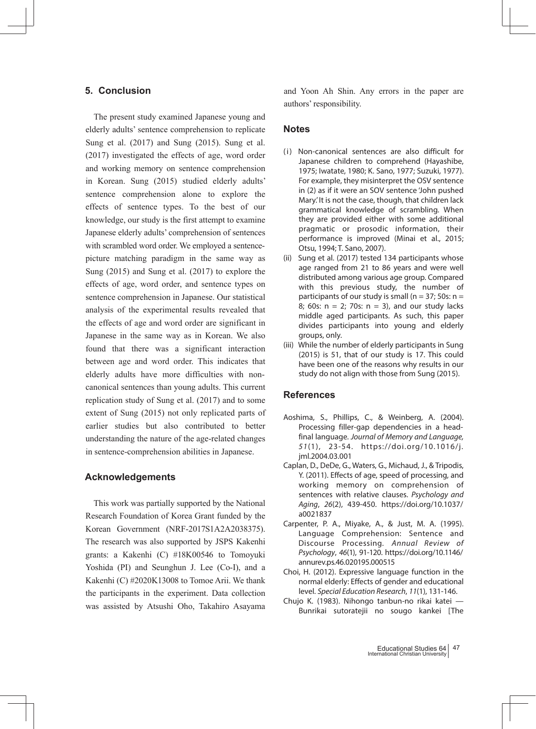# **5. Conclusion**

 The present study examined Japanese young and elderly adults' sentence comprehension to replicate Sung et al. (2017) and Sung (2015). Sung et al. (2017) investigated the effects of age, word order and working memory on sentence comprehension in Korean. Sung (2015) studied elderly adults' sentence comprehension alone to explore the effects of sentence types. To the best of our knowledge, our study is the first attempt to examine Japanese elderly adults' comprehension of sentences with scrambled word order. We employed a sentencepicture matching paradigm in the same way as Sung (2015) and Sung et al. (2017) to explore the effects of age, word order, and sentence types on sentence comprehension in Japanese. Our statistical analysis of the experimental results revealed that the effects of age and word order are significant in Japanese in the same way as in Korean. We also found that there was a significant interaction between age and word order. This indicates that elderly adults have more difficulties with noncanonical sentences than young adults. This current replication study of Sung et al. (2017) and to some extent of Sung (2015) not only replicated parts of earlier studies but also contributed to better understanding the nature of the age-related changes in sentence-comprehension abilities in Japanese.

## **Acknowledgements**

 This work was partially supported by the National Research Foundation of Korea Grant funded by the Korean Government (NRF-2017S1A2A2038375). The research was also supported by JSPS Kakenhi grants: a Kakenhi (C) #18K00546 to Tomoyuki Yoshida (PI) and Seunghun J. Lee (Co-I), and a Kakenhi (C) #2020K13008 to Tomoe Arii. We thank the participants in the experiment. Data collection was assisted by Atsushi Oho, Takahiro Asayama and Yoon Ah Shin. Any errors in the paper are authors' responsibility.

#### **Notes**

- (i) Non-canonical sentences are also difficult for Japanese children to comprehend (Hayashibe, 1975; Iwatate, 1980; K. Sano, 1977; Suzuki, 1977). For example, they misinterpret the OSV sentence in (2) as if it were an SOV sentence 'John pushed Mary.' It is not the case, though, that children lack grammatical knowledge of scrambling. When they are provided either with some additional pragmatic or prosodic information, their performance is improved (Minai et al., 2015; Otsu, 1994; T. Sano, 2007).
- (ii) Sung et al. (2017) tested 134 participants whose age ranged from 21 to 86 years and were well distributed among various age group. Compared with this previous study, the number of participants of our study is small ( $n = 37$ ; 50s:  $n =$ 8; 60s:  $n = 2$ ; 70s:  $n = 3$ ), and our study lacks middle aged participants. As such, this paper divides participants into young and elderly groups, only.
- (iii) While the number of elderly participants in Sung (2015) is 51, that of our study is 17. This could have been one of the reasons why results in our study do not align with those from Sung (2015).

## **References**

- Aoshima, S., Phillips, C., & Weinberg, A. (2004). Processing filler-gap dependencies in a headfinal language. Journal of Memory and Language, 51(1), 23-54. https://doi.org/10.1016/j. jml.2004.03.001
- Caplan, D., DeDe, G., Waters, G., Michaud, J., & Tripodis, Y. (2011). Effects of age, speed of processing, and working memory on comprehension of sentences with relative clauses. Psychology and Aging, 26(2), 439-450. https://doi.org/10.1037/ a0021837
- Carpenter, P. A., Miyake, A., & Just, M. A. (1995). Language Comprehension: Sentence and Discourse Processing. Annual Review of Psychology, 46(1), 91-120. https://doi.org/10.1146/ annurev.ps.46.020195.000515
- Choi, H. (2012). Expressive language function in the normal elderly: Effects of gender and educational level. Special Education Research, 11(1), 131-146.
- Chujo K. (1983). Nihongo tanbun-no rikai katei Bunrikai sutoratejii no sougo kankei [The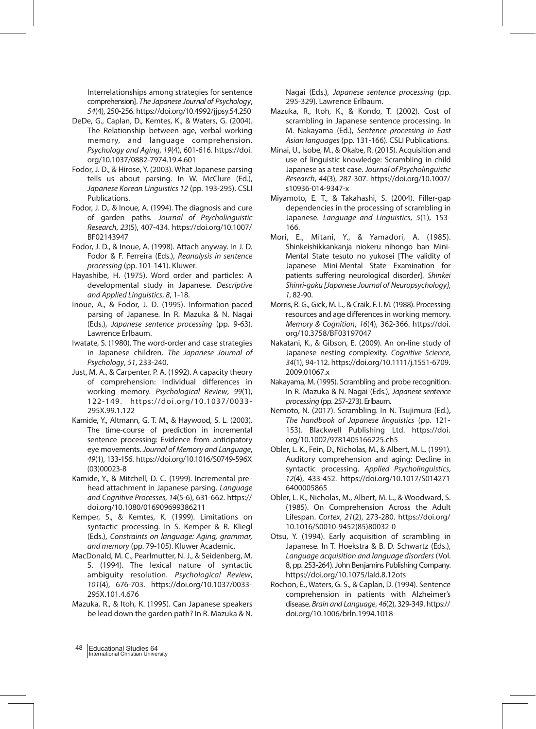Interrelationships among strategies for sentence comprehension]. The Japanese Journal of Psychology, 54(4), 250-256. https://doi.org/10.4992/jjpsy.54.250

- DeDe, G., Caplan, D., Kemtes, K., & Waters, G. (2004). The Relationship between age, verbal working memory, and language comprehension. Psychology and Aging, 19(4), 601-616. https://doi. org/10.1037/0882-7974.19.4.601
- Fodor, J. D., & Hirose, Y. (2003). What Japanese parsing tells us about parsing. In W. McClure (Ed.), Japanese Korean Linguistics 12 (pp. 193-295). CSLI Publications.
- Fodor, J. D., & Inoue, A. (1994). The diagnosis and cure of garden paths. Journal of Psycholinguistic Research, 23(5), 407-434. https://doi.org/10.1007/ BF02143947
- Fodor, J. D., & Inoue, A. (1998). Attach anyway. In J. D. Fodor & F. Ferreira (Eds.), Reanalysis in sentence processing (pp. 101-141). Kluwer.
- Hayashibe, H. (1975). Word order and particles: A developmental study in Japanese. Descriptive and Applied Linguistics, 8, 1-18.
- Inoue, A., & Fodor, J. D. (1995). Information-paced parsing of Japanese. In R. Mazuka & N. Nagai (Eds.), Japanese sentence processing (pp. 9-63). Lawrence Erlbaum.
- Iwatate, S. (1980). The word-order and case strategies in Japanese children. The Japanese Journal of Psychology, 51, 233-240.
- Just, M. A., & Carpenter, P. A. (1992). A capacity theory of comprehension: Individual differences in working memory. Psychological Review, 99(1), 122-149. https://doi.org/10.1037/0033- 295X.99.1.122
- Kamide, Y., Altmann, G. T. M., & Haywood, S. L. (2003). The time-course of prediction in incremental sentence processing: Evidence from anticipatory eye movements. Journal of Memory and Language, 49(1), 133-156. https://doi.org/10.1016/S0749-596X (03)00023-8
- Kamide, Y., & Mitchell, D. C. (1999). Incremental prehead attachment in Japanese parsing. Language and Cognitive Processes, 14(5-6), 631-662. https:// doi.org/10.1080/016909699386211
- Kemper, S., & Kemtes, K. (1999). Limitations on syntactic processing. In S. Kemper & R. Kliegl (Eds.), Constraints on language: Aging, grammar, and memory (pp. 79-105). Kluwer Academic.
- MacDonald, M. C., Pearlmutter, N. J., & Seidenberg, M. S. (1994). The lexical nature of syntactic ambiguity resolution. Psychological Review, 101(4), 676-703. https://doi.org/10.1037/0033- 295X.101.4.676
- Mazuka, R., & Itoh, K. (1995). Can Japanese speakers be lead down the garden path? In R. Mazuka & N.

Nagai (Eds.), Japanese sentence processing (pp. 295-329). Lawrence Erlbaum.

- Mazuka, R., Itoh, K., & Kondo, T. (2002). Cost of scrambling in Japanese sentence processing. In M. Nakayama (Ed.), Sentence processing in East Asian languages (pp. 131-166). CSLI Publications.
- Minai, U., Isobe, M., & Okabe, R. (2015). Acquisition and use of linguistic knowledge: Scrambling in child Japanese as a test case. Journal of Psycholinguistic Research, 44(3), 287-307. https://doi.org/10.1007/ s10936-014-9347-x
- Miyamoto, E. T., & Takahashi, S. (2004). Filler-gap dependencies in the processing of scrambling in Japanese. Language and Linguistics, 5(1), 153- 166.
- Mori, E., Mitani, Y., & Yamadori, A. (1985). Shinkeishikkankanja niokeru nihongo ban Mini-Mental State tesuto no yukosei [The validity of Japanese Mini-Mental State Examination for patients suffering neurological disorder]. Shinkei Shinri-gaku [Japanese Journal of Neuropsychology], 1, 82-90.
- Morris, R. G., Gick, M. L., & Craik, F. I. M. (1988). Processing resources and age differences in working memory. Memory & Cognition, 16(4), 362-366. https://doi. org/10.3758/BF03197047
- Nakatani, K., & Gibson, E. (2009). An on-line study of Japanese nesting complexity. Cognitive Science, 34(1), 94-112. https://doi.org/10.1111/j.1551-6709. 2009.01067.x
- Nakayama, M. (1995). Scrambling and probe recognition. In R. Mazuka & N. Nagai (Eds.), Japanese sentence processing (pp. 257-273). Erlbaum.
- Nemoto, N. (2017). Scrambling. In N. Tsujimura (Ed.), The handbook of Japanese linguistics (pp. 121- 153). Blackwell Publishing Ltd. https://doi. org/10.1002/9781405166225.ch5
- Obler, L. K., Fein, D., Nicholas, M., & Albert, M. L. (1991). Auditory comprehension and aging: Decline in syntactic processing. Applied Psycholinguistics, 12(4), 433-452. https://doi.org/10.1017/S014271 6400005865
- Obler, L. K., Nicholas, M., Albert, M. L., & Woodward, S. (1985). On Comprehension Across the Adult Lifespan. Cortex, 21(2), 273-280. https://doi.org/ 10.1016/S0010-9452(85)80032-0
- Otsu, Y. (1994). Early acquisition of scrambling in Japanese. In T. Hoekstra & B. D. Schwartz (Eds.), Language acquisition and language disorders (Vol. 8, pp. 253-264). John Benjamins Publishing Company. https://doi.org/10.1075/lald.8.12ots
- Rochon, E., Waters, G. S., & Caplan, D. (1994). Sentence comprehension in patients with Alzheimer's disease. Brain and Language, 46(2), 329-349. https:// doi.org/10.1006/brln.1994.1018